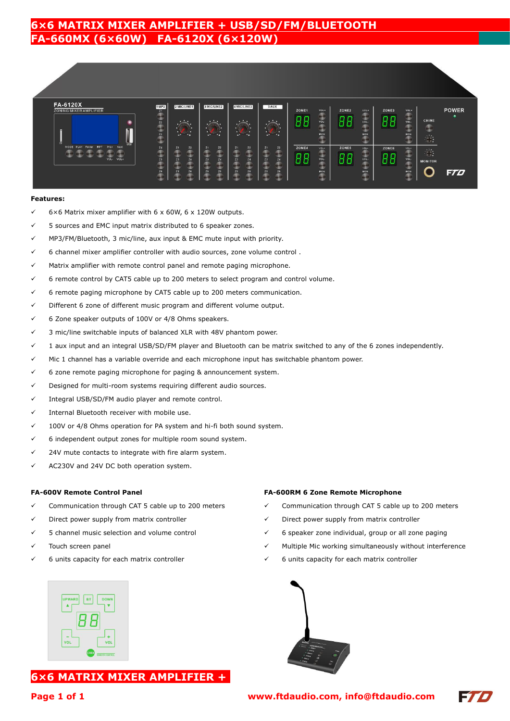# **6×6 MATRIX MIXER AMPLIFIER + USB/SD/FM/BLUETOOTH FA-660MX (6×60W) FA-6120X (6×120W)**



#### **Features:**

- 6×6 Matrix mixer amplifier with 6 x 60W, 6 x 120W outputs.
- 5 sources and EMC input matrix distributed to 6 speaker zones.
- MP3/FM/Bluetooth, 3 mic/line, aux input & EMC mute input with priority.
- 6 channel mixer amplifier controller with audio sources, zone volume control .
- Matrix amplifier with remote control panel and remote paging microphone.
- 6 remote control by CAT5 cable up to 200 meters to select program and control volume.
- 6 remote paging microphone by CAT5 cable up to 200 meters communication.
- Different 6 zone of different music program and different volume output.
- 6 Zone speaker outputs of 100V or 4/8 Ohms speakers.
- 3 mic/line switchable inputs of balanced XLR with 48V phantom power.
- 1 aux input and an integral USB/SD/FM player and Bluetooth can be matrix switched to any of the 6 zones independently.
- Mic 1 channel has a variable override and each microphone input has switchable phantom power.
- 6 zone remote paging microphone for paging & announcement system.
- Designed for multi-room systems requiring different audio sources.
- Integral USB/SD/FM audio player and remote control.
- Internal Bluetooth receiver with mobile use.
- 100V or 4/8 Ohms operation for PA system and hi-fi both sound system.
- 6 independent output zones for multiple room sound system.
- 24V mute contacts to integrate with fire alarm system.
- AC230V and 24V DC both operation system.

### **FA-600V Remote Control Panel**

- Communication through CAT 5 cable up to 200 meters
- Direct power supply from matrix controller
- 5 channel music selection and volume control
- Touch screen panel
- 6 units capacity for each matrix controller



# **6×6 MATRIX MIXER AMPLIFIER +**

#### **FA-600RM 6 Zone Remote Microphone**

- Communication through CAT 5 cable up to 200 meters
- Direct power supply from matrix controller
- $6$  speaker zone individual, group or all zone paging
- Multiple Mic working simultaneously without interference
- $6$  units capacity for each matrix controller